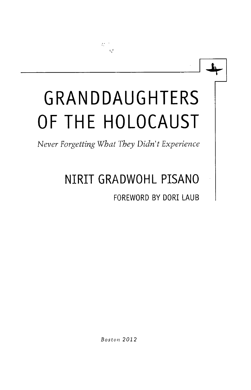## **GRANDDAUGHTERS OF THE HOLOCAUST**

 $\mathcal{V}^{\text{max}}_{\text{max}}$  $\mathbf{e}_i$ t

*Never Forgetting What They Didn't Experience* 

## **NIRIT GRADWOHL PISANO**

**FOREWORD BY DORI LAUB** 

*Boston 2012*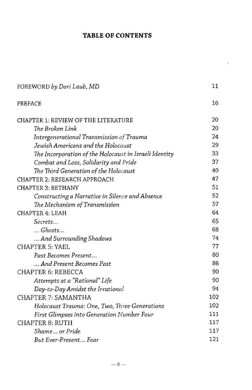## TABLE OF CONTENTS

 $\frac{1}{\sqrt{2}}$ 

| FOREWORD by Dori Laub, MD                              | 11  |
|--------------------------------------------------------|-----|
| PREFACE                                                | 16  |
| <b>CHAPTER 1: REVIEW OF THE LITERATURE</b>             | 20  |
| The Broken Link                                        | 20  |
| Intergenerational Transmission of Trauma               | 24  |
| Jewish Americans and the Holocaust                     | 29  |
| The Incorporation of the Holocaust in Israeli Identity | 33  |
| Combat and Loss, Solidarity and Pride                  | 37  |
| The Third Generation of the Holocaust                  | 40  |
| CHAPTER 2: RESEARCH APPROACH                           | 47  |
| <b>CHAPTER 3: BETHANY</b>                              | 51  |
| Constructing a Narrative in Silence and Absence        | 52  |
| The Mechanism of Transmission                          | 57  |
| <b>CHAPTER 4: LEAH</b>                                 | 64  |
| Secrets                                                | 65  |
| $\ldots$ Ghosts                                        | 68  |
| And Surrounding Shadows                                | 74  |
| <b>CHAPTER 5: YAEL</b>                                 | 77  |
| Past Becomes Present                                   | 80  |
| And Present Becomes Past                               | 86  |
| <b>CHAPTER 6: REBECCA</b>                              | 90  |
| Attempts at a "Rational" Life                          | 90  |
| Day-to-Day Amidst the Irrational                       | 94  |
| <b>CHAPTER 7: SAMANTHA</b>                             | 102 |
| Holocaust Trauma: One, Two, Three Generations          | 102 |
| First Glimpses into Generation Number Four             | 111 |
| <b>CHAPTER 8: RUTH</b>                                 | 117 |
| Shame or Pride                                         | 117 |
| But Ever-Present Fear                                  | 121 |